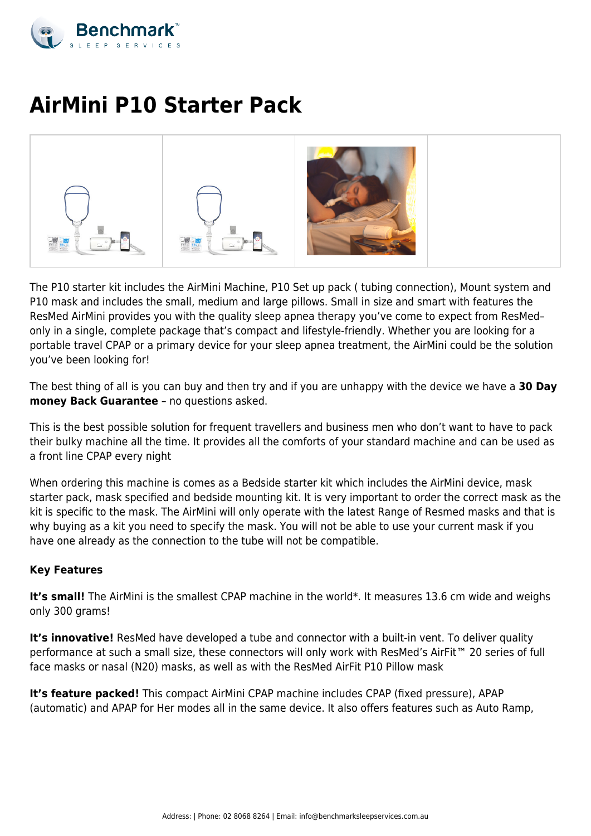

# **AirMini P10 Starter Pack**



The P10 starter kit includes the AirMini Machine, P10 Set up pack ( tubing connection), Mount system and P10 mask and includes the small, medium and large pillows. Small in size and smart with features the ResMed AirMini provides you with the quality sleep apnea therapy you've come to expect from ResMed– only in a single, complete package that's compact and lifestyle-friendly. Whether you are looking for a portable travel CPAP or a primary device for your sleep apnea treatment, the AirMini could be the solution you've been looking for!

The best thing of all is you can buy and then try and if you are unhappy with the device we have a **30 Day money Back Guarantee** – no questions asked.

This is the best possible solution for frequent travellers and business men who don't want to have to pack their bulky machine all the time. It provides all the comforts of your standard machine and can be used as a front line CPAP every night

When ordering this machine is comes as a Bedside starter kit which includes the AirMini device, mask starter pack, mask specified and bedside mounting kit. It is very important to order the correct mask as the kit is specific to the mask. The AirMini will only operate with the latest Range of Resmed masks and that is why buying as a kit you need to specify the mask. You will not be able to use your current mask if you have one already as the connection to the tube will not be compatible.

# **Key Features**

It's small! The AirMini is the smallest CPAP machine in the world\*. It measures 13.6 cm wide and weighs only 300 grams!

**It's innovative!** ResMed have developed a tube and connector with a built-in vent. To deliver quality performance at such a small size, these connectors will only work with ResMed's AirFit™ 20 series of full face masks or nasal (N20) masks, as well as with the ResMed AirFit P10 Pillow mask

**It's feature packed!** This compact AirMini CPAP machine includes CPAP (fixed pressure), APAP (automatic) and APAP for Her modes all in the same device. It also offers features such as Auto Ramp,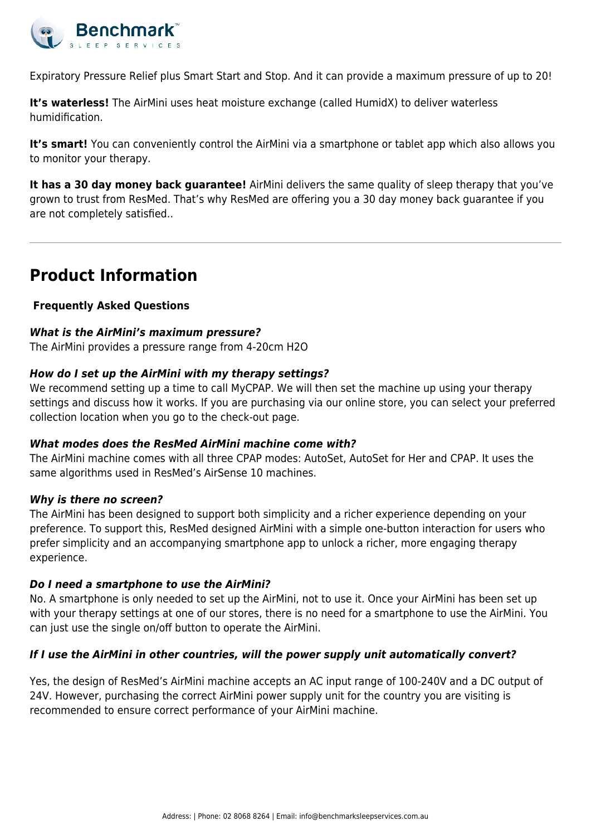

Expiratory Pressure Relief plus Smart Start and Stop. And it can provide a maximum pressure of up to 20!

**It's waterless!** The AirMini uses heat moisture exchange (called HumidX) to deliver waterless humidification.

It's smart! You can conveniently control the AirMini via a smartphone or tablet app which also allows you to monitor your therapy.

**It has a 30 day money back guarantee!** AirMini delivers the same quality of sleep therapy that you've grown to trust from ResMed. That's why ResMed are offering you a 30 day money back guarantee if you are not completely satisfied..

# **Product Information**

# **Frequently Asked Questions**

#### *What is the AirMini's maximum pressure?*

The AirMini provides a pressure range from 4-20cm H2O

#### *How do I set up the AirMini with my therapy settings?*

We recommend setting up a time to call MyCPAP. We will then set the machine up using your therapy settings and discuss how it works. If you are purchasing via our online store, you can select your preferred collection location when you go to the check-out page.

#### *What modes does the ResMed AirMini machine come with?*

The AirMini machine comes with all three CPAP modes: AutoSet, AutoSet for Her and CPAP. It uses the same algorithms used in ResMed's AirSense 10 machines.

#### *Why is there no screen?*

The AirMini has been designed to support both simplicity and a richer experience depending on your preference. To support this, ResMed designed AirMini with a simple one-button interaction for users who prefer simplicity and an accompanying smartphone app to unlock a richer, more engaging therapy experience.

#### *Do I need a smartphone to use the AirMini?*

No. A smartphone is only needed to set up the AirMini, not to use it. Once your AirMini has been set up with your therapy settings at one of our stores, there is no need for a smartphone to use the AirMini. You can just use the single on/off button to operate the AirMini.

# *If I use the AirMini in other countries, will the power supply unit automatically convert?*

Yes, the design of ResMed's AirMini machine accepts an AC input range of 100-240V and a DC output of 24V. However, purchasing the correct AirMini power supply unit for the country you are visiting is recommended to ensure correct performance of your AirMini machine.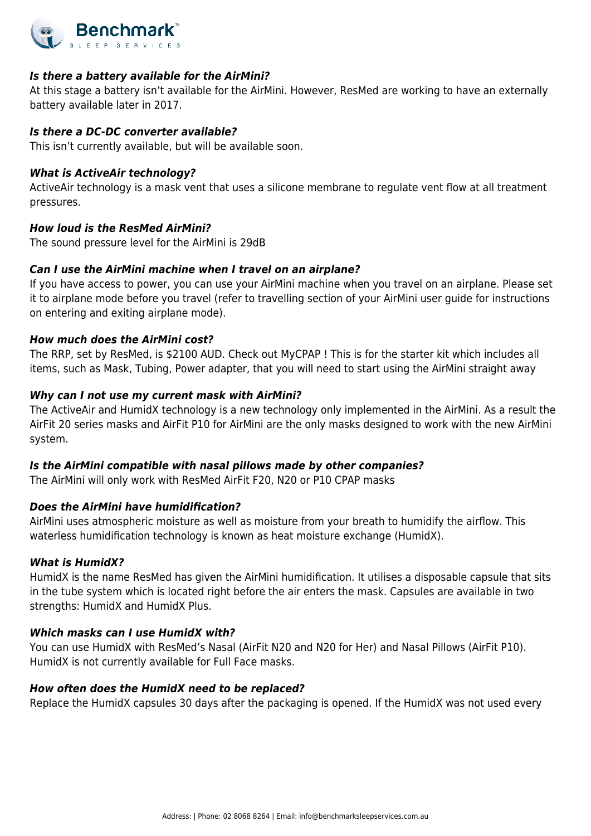

#### *Is there a battery available for the AirMini?*

At this stage a battery isn't available for the AirMini. However, ResMed are working to have an externally battery available later in 2017.

#### *Is there a DC-DC converter available?*

This isn't currently available, but will be available soon.

#### *What is ActiveAir technology?*

ActiveAir technology is a mask vent that uses a silicone membrane to regulate vent flow at all treatment pressures.

#### *How loud is the ResMed AirMini?*

The sound pressure level for the AirMini is 29dB

# *Can I use the AirMini machine when I travel on an airplane?*

If you have access to power, you can use your AirMini machine when you travel on an airplane. Please set it to airplane mode before you travel (refer to travelling section of your AirMini user guide for instructions on entering and exiting airplane mode).

#### *How much does the AirMini cost?*

The RRP, set by ResMed, is \$2100 AUD. Check out MyCPAP ! This is for the starter kit which includes all items, such as Mask, Tubing, Power adapter, that you will need to start using the AirMini straight away

#### *Why can I not use my current mask with AirMini?*

The ActiveAir and HumidX technology is a new technology only implemented in the AirMini. As a result the AirFit 20 series masks and AirFit P10 for AirMini are the only masks designed to work with the new AirMini system.

# *Is the AirMini compatible with nasal pillows made by other companies?*

The AirMini will only work with ResMed AirFit F20, N20 or P10 CPAP masks

# *Does the AirMini have humidification?*

AirMini uses atmospheric moisture as well as moisture from your breath to humidify the airflow. This waterless humidification technology is known as heat moisture exchange (HumidX).

#### *What is HumidX?*

HumidX is the name ResMed has given the AirMini humidification. It utilises a disposable capsule that sits in the tube system which is located right before the air enters the mask. Capsules are available in two strengths: HumidX and HumidX Plus.

# *Which masks can I use HumidX with?*

You can use HumidX with ResMed's Nasal (AirFit N20 and N20 for Her) and Nasal Pillows (AirFit P10). HumidX is not currently available for Full Face masks.

#### *How often does the HumidX need to be replaced?*

Replace the HumidX capsules 30 days after the packaging is opened. If the HumidX was not used every